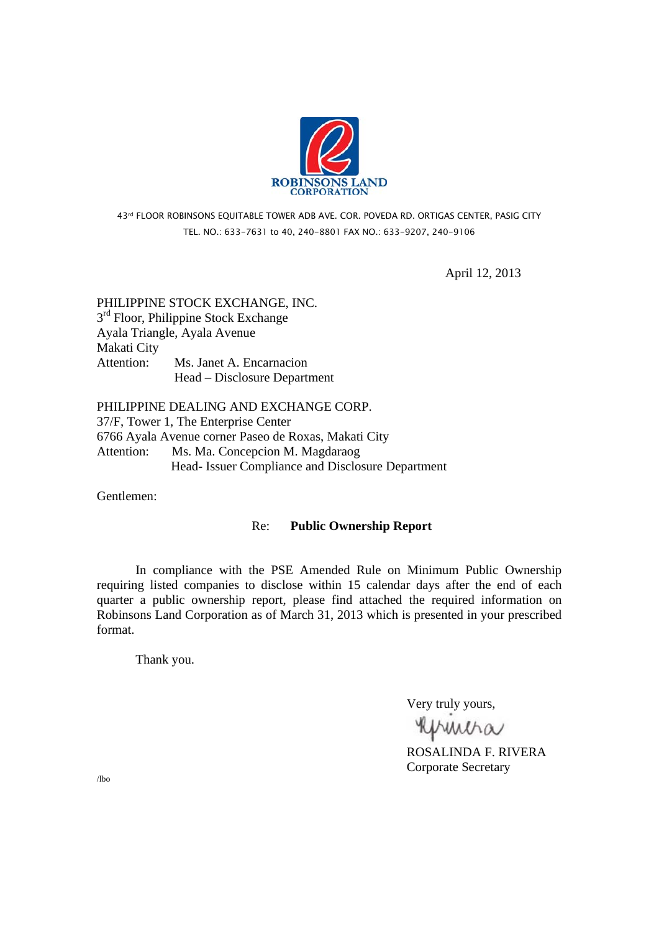

## 43rd FLOOR ROBINSONS EQUITABLE TOWER ADB AVE. COR. POVEDA RD. ORTIGAS CENTER, PASIG CITY TEL. NO.: 633-7631 to 40, 240-8801 FAX NO.: 633-9207, 240-9106

April 12, 2013

# PHILIPPINE STOCK EXCHANGE, INC.  $3<sup>rd</sup>$  Floor, Philippine Stock Exchange Ayala Triangle, Ayala Avenue Makati City Attention: Ms. Janet A. Encarnacion Head – Disclosure Department

PHILIPPINE DEALING AND EXCHANGE CORP. 37/F, Tower 1, The Enterprise Center 6766 Ayala Avenue corner Paseo de Roxas, Makati City Attention: Ms. Ma. Concepcion M. Magdaraog Head- Issuer Compliance and Disclosure Department

Gentlemen:

## Re: **Public Ownership Report**

 In compliance with the PSE Amended Rule on Minimum Public Ownership requiring listed companies to disclose within 15 calendar days after the end of each quarter a public ownership report, please find attached the required information on Robinsons Land Corporation as of March 31, 2013 which is presented in your prescribed format.

Thank you.

Very truly yours,

**RUMMA**<br>ROSALINDA F. RIVERA

Corporate Secretary

/lbo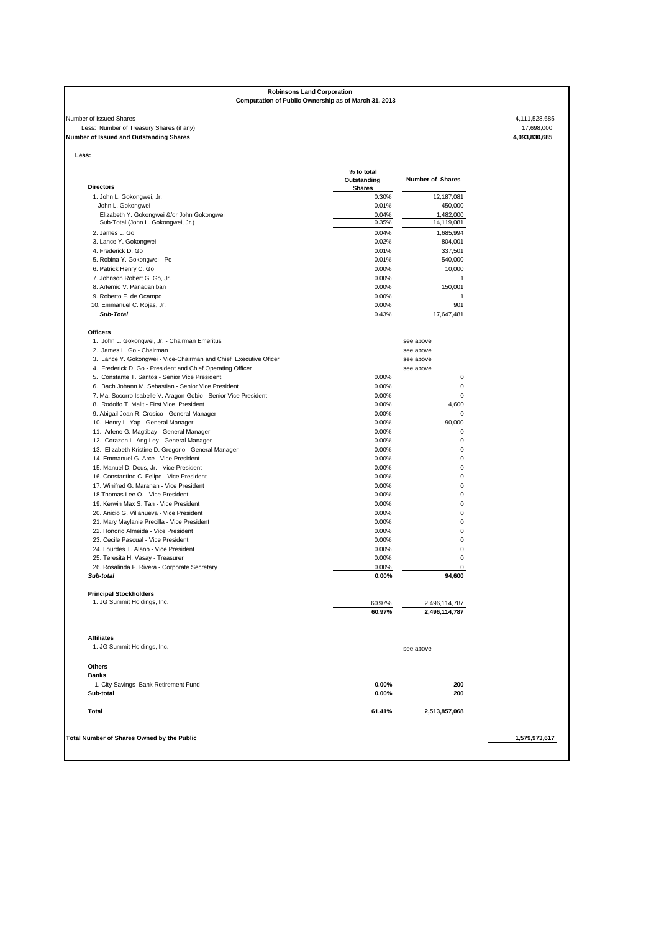## **Robinsons Land Corporation Computation of Public Ownership as of March 31, 2013**

### Number of Issued Shares 4,111,528,685<br>Less: Number of Treasury Shares (if any)<br>**Number of Issued and Outstanding Shares** 4,093,830,685<br>**4,093,830,685**<br>**4,093,830,685** Less: Number of Treasury Shares (if any) **Number of Issued and Outstanding Shares 4,093,830,685**

**Less:** 

| <b>Directors</b>                                                 | % to total<br>Outstanding<br><b>Shares</b> | <b>Number of Shares</b> |
|------------------------------------------------------------------|--------------------------------------------|-------------------------|
| 1. John L. Gokongwei, Jr.                                        | 0.30%                                      | 12,187,081              |
| John L. Gokongwei                                                | 0.01%                                      | 450,000                 |
| Elizabeth Y. Gokongwei &/or John Gokongwei                       | 0.04%                                      | 1,482,000               |
| Sub-Total (John L. Gokongwei, Jr.)                               | 0.35%                                      | 14,119,081              |
| 2. James L. Go                                                   | 0.04%                                      | 1,685,994               |
| 3. Lance Y. Gokongwei                                            | 0.02%                                      | 804,001                 |
| 4. Frederick D. Go                                               | 0.01%                                      | 337,501                 |
| 5. Robina Y. Gokongwei - Pe                                      | 0.01%                                      | 540,000                 |
| 6. Patrick Henry C. Go                                           | 0.00%                                      | 10,000                  |
| 7. Johnson Robert G. Go, Jr.                                     | 0.00%                                      | $\mathbf{1}$            |
| 8. Artemio V. Panaganiban                                        | 0.00%                                      | 150,001                 |
| 9. Roberto F. de Ocampo                                          | 0.00%                                      | $\mathbf{1}$            |
| 10. Emmanuel C. Rojas, Jr.                                       | 0.00%                                      | 901                     |
| Sub-Total                                                        | 0.43%                                      | 17,647,481              |
| <b>Officers</b>                                                  |                                            |                         |
| 1. John L. Gokongwei, Jr. - Chairman Emeritus                    |                                            | see above               |
| 2. James L. Go - Chairman                                        |                                            | see above               |
|                                                                  |                                            |                         |
| 3. Lance Y. Gokongwei - Vice-Chairman and Chief Executive Oficer |                                            | see above               |
| 4. Frederick D. Go - President and Chief Operating Officer       |                                            | see above               |
| 5. Constante T. Santos - Senior Vice President                   | 0.00%                                      | 0                       |
| 6. Bach Johann M. Sebastian - Senior Vice President              | 0.00%                                      | 0                       |
| 7. Ma. Socorro Isabelle V. Aragon-Gobio - Senior Vice President  | 0.00%                                      | $\mathbf 0$             |
| 8. Rodolfo T. Malit - First Vice President                       | 0.00%                                      | 4,600                   |
| 9. Abigail Joan R. Crosico - General Manager                     | 0.00%                                      | $\mathbf 0$             |
| 10. Henry L. Yap - General Manager                               | 0.00%                                      | 90,000                  |
| 11. Arlene G. Magtibay - General Manager                         | 0.00%                                      | $\mathbf 0$             |
| 12. Corazon L. Ang Ley - General Manager                         | 0.00%                                      | $\mathbf 0$             |
| 13. Elizabeth Kristine D. Gregorio - General Manager             | 0.00%                                      | 0                       |
| 14. Emmanuel G. Arce - Vice President                            | 0.00%                                      | 0                       |
| 15. Manuel D. Deus. Jr. - Vice President                         | 0.00%                                      | $\mathbf 0$             |
| 16. Constantino C. Felipe - Vice President                       | 0.00%                                      | $\mathbf 0$             |
| 17. Winifred G. Maranan - Vice President                         | 0.00%                                      | $\mathbf 0$             |
| 18. Thomas Lee O. - Vice President                               | 0.00%                                      | $\mathbf 0$             |
| 19. Kerwin Max S. Tan - Vice President                           | 0.00%                                      | 0                       |
| 20. Anicio G. Villanueva - Vice President                        | 0.00%                                      | 0                       |
| 21. Mary Maylanie Precilla - Vice President                      | 0.00%                                      | $\mathbf 0$             |
| 22. Honorio Almeida - Vice President                             | 0.00%                                      | $\mathbf 0$             |
| 23. Cecile Pascual - Vice President                              | 0.00%                                      | 0                       |
| 24. Lourdes T. Alano - Vice President                            | 0.00%                                      | 0                       |
| 25. Teresita H. Vasay - Treasurer                                | 0.00%                                      | 0                       |
| 26. Rosalinda F. Rivera - Corporate Secretary                    | 0.00%                                      | 0                       |
| Sub-total                                                        | $0.00\%$                                   | 94,600                  |
| <b>Principal Stockholders</b>                                    |                                            |                         |
| 1. JG Summit Holdings, Inc.                                      | 60.97%                                     | 2,496,114,787           |
|                                                                  | 60.97%                                     | 2,496,114,787           |
|                                                                  |                                            |                         |
| <b>Affiliates</b>                                                |                                            |                         |
| 1. JG Summit Holdings, Inc.                                      |                                            | see above               |
| <b>Others</b>                                                    |                                            |                         |
| <b>Banks</b>                                                     |                                            |                         |
| 1. City Savings Bank Retirement Fund                             | $0.00\%$                                   | 200                     |
| Sub-total                                                        | 0.00%                                      | 200                     |
| Total                                                            | 61.41%                                     | 2,513,857,068           |
|                                                                  |                                            |                         |
| Total Number of Shares Owned by the Public                       |                                            |                         |